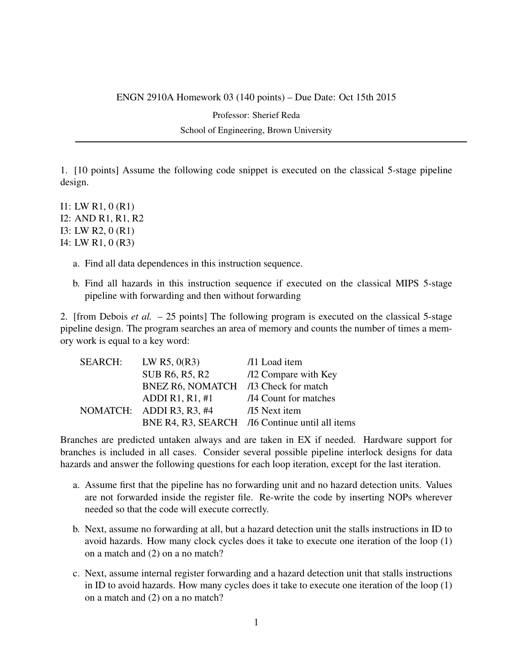## ENGN 2910A Homework 03 (140 points) – Due Date: Oct 15th 2015

Professor: Sherief Reda

School of Engineering, Brown University

1. [10 points] Assume the following code snippet is executed on the classical 5-stage pipeline design.

I1: LW R1, 0 (R1) I2: AND R1, R1, R2 I3: LW R2, 0 (R1) I4: LW R1, 0 (R3)

- a. Find all data dependences in this instruction sequence.
- b. Find all hazards in this instruction sequence if executed on the classical MIPS 5-stage pipeline with forwarding and then without forwarding

2. [from Debois *et al.* – 25 points] The following program is executed on the classical 5-stage pipeline design. The program searches an area of memory and counts the number of times a memory work is equal to a key word:

| <b>SEARCH:</b> | LW R5, $0(R3)$                       | /I1 Load item                                    |
|----------------|--------------------------------------|--------------------------------------------------|
|                | SUB R6, R5, R2                       | /I2 Compare with Key                             |
|                | BNEZ R6, NOMATCH /I3 Check for match |                                                  |
|                | ADDI R1, R1, #1                      | /I4 Count for matches                            |
|                | NOMATCH: ADDI R3, R3, $#4$           | /I5 Next item                                    |
|                |                                      | BNE R4, R3, SEARCH / 16 Continue until all items |

Branches are predicted untaken always and are taken in EX if needed. Hardware support for branches is included in all cases. Consider several possible pipeline interlock designs for data hazards and answer the following questions for each loop iteration, except for the last iteration.

- a. Assume first that the pipeline has no forwarding unit and no hazard detection units. Values are not forwarded inside the register file. Re-write the code by inserting NOPs wherever needed so that the code will execute correctly.
- b. Next, assume no forwarding at all, but a hazard detection unit the stalls instructions in ID to avoid hazards. How many clock cycles does it take to execute one iteration of the loop (1) on a match and (2) on a no match?
- c. Next, assume internal register forwarding and a hazard detection unit that stalls instructions in ID to avoid hazards. How many cycles does it take to execute one iteration of the loop (1) on a match and (2) on a no match?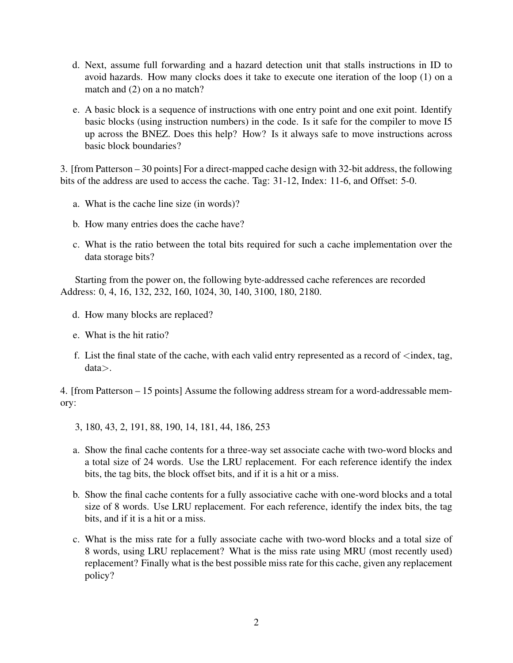- d. Next, assume full forwarding and a hazard detection unit that stalls instructions in ID to avoid hazards. How many clocks does it take to execute one iteration of the loop (1) on a match and (2) on a no match?
- e. A basic block is a sequence of instructions with one entry point and one exit point. Identify basic blocks (using instruction numbers) in the code. Is it safe for the compiler to move I5 up across the BNEZ. Does this help? How? Is it always safe to move instructions across basic block boundaries?

3. [from Patterson – 30 points] For a direct-mapped cache design with 32-bit address, the following bits of the address are used to access the cache. Tag: 31-12, Index: 11-6, and Offset: 5-0.

- a. What is the cache line size (in words)?
- b. How many entries does the cache have?
- c. What is the ratio between the total bits required for such a cache implementation over the data storage bits?

Starting from the power on, the following byte-addressed cache references are recorded Address: 0, 4, 16, 132, 232, 160, 1024, 30, 140, 3100, 180, 2180.

- d. How many blocks are replaced?
- e. What is the hit ratio?
- f. List the final state of the cache, with each valid entry represented as a record of  $\langle$ index, tag, data>.

4. [from Patterson – 15 points] Assume the following address stream for a word-addressable memory:

- 3, 180, 43, 2, 191, 88, 190, 14, 181, 44, 186, 253
- a. Show the final cache contents for a three-way set associate cache with two-word blocks and a total size of 24 words. Use the LRU replacement. For each reference identify the index bits, the tag bits, the block offset bits, and if it is a hit or a miss.
- b. Show the final cache contents for a fully associative cache with one-word blocks and a total size of 8 words. Use LRU replacement. For each reference, identify the index bits, the tag bits, and if it is a hit or a miss.
- c. What is the miss rate for a fully associate cache with two-word blocks and a total size of 8 words, using LRU replacement? What is the miss rate using MRU (most recently used) replacement? Finally what is the best possible miss rate for this cache, given any replacement policy?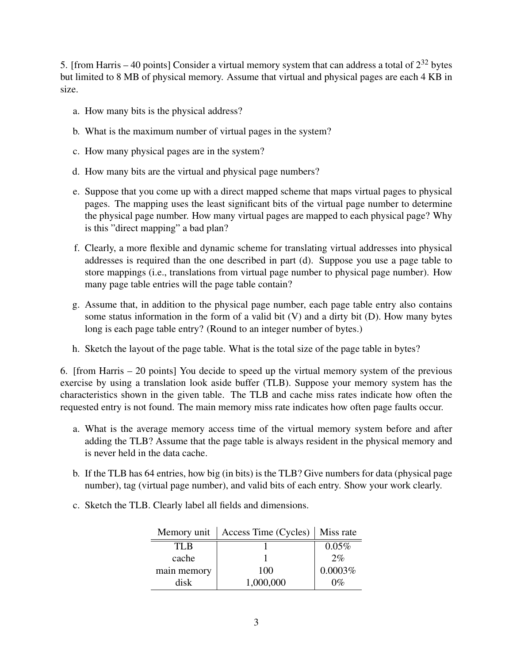5. [from Harris – 40 points] Consider a virtual memory system that can address a total of  $2^{32}$  bytes but limited to 8 MB of physical memory. Assume that virtual and physical pages are each 4 KB in size.

- a. How many bits is the physical address?
- b. What is the maximum number of virtual pages in the system?
- c. How many physical pages are in the system?
- d. How many bits are the virtual and physical page numbers?
- e. Suppose that you come up with a direct mapped scheme that maps virtual pages to physical pages. The mapping uses the least significant bits of the virtual page number to determine the physical page number. How many virtual pages are mapped to each physical page? Why is this "direct mapping" a bad plan?
- f. Clearly, a more flexible and dynamic scheme for translating virtual addresses into physical addresses is required than the one described in part (d). Suppose you use a page table to store mappings (i.e., translations from virtual page number to physical page number). How many page table entries will the page table contain?
- g. Assume that, in addition to the physical page number, each page table entry also contains some status information in the form of a valid bit (V) and a dirty bit (D). How many bytes long is each page table entry? (Round to an integer number of bytes.)
- h. Sketch the layout of the page table. What is the total size of the page table in bytes?

6. [from Harris – 20 points] You decide to speed up the virtual memory system of the previous exercise by using a translation look aside buffer (TLB). Suppose your memory system has the characteristics shown in the given table. The TLB and cache miss rates indicate how often the requested entry is not found. The main memory miss rate indicates how often page faults occur.

- a. What is the average memory access time of the virtual memory system before and after adding the TLB? Assume that the page table is always resident in the physical memory and is never held in the data cache.
- b. If the TLB has 64 entries, how big (in bits) is the TLB? Give numbers for data (physical page number), tag (virtual page number), and valid bits of each entry. Show your work clearly.
- c. Sketch the TLB. Clearly label all fields and dimensions.

|             | Memory unit   Access Time (Cycles)   Miss rate |          |
|-------------|------------------------------------------------|----------|
| TLB         |                                                | $0.05\%$ |
| cache       |                                                | 2%       |
| main memory | 100                                            | 0.0003%  |
| disk        | 1,000,000                                      | $0\%$    |